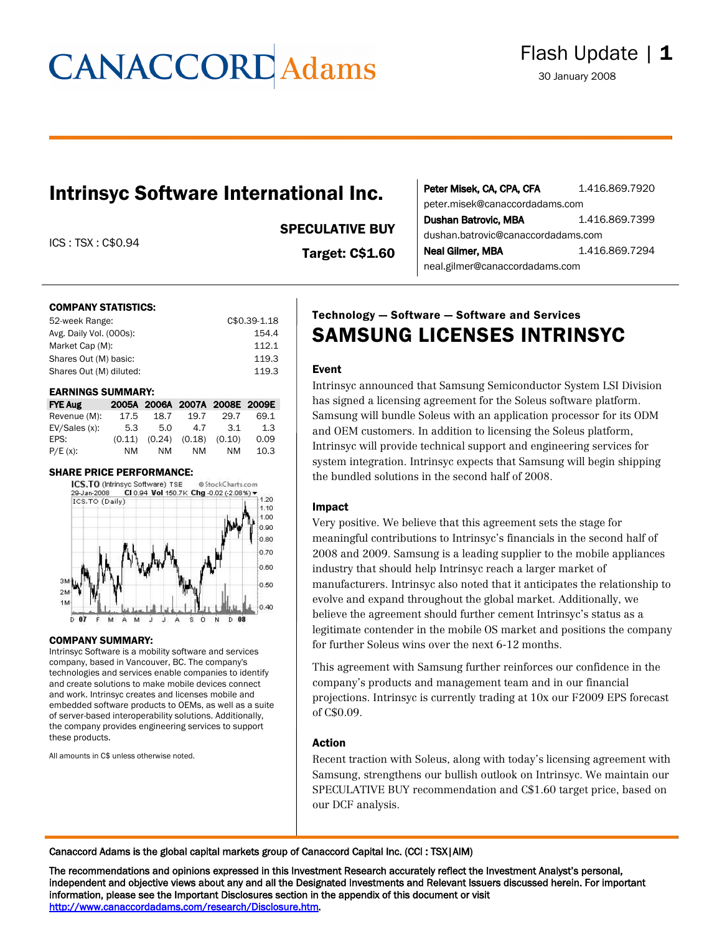# **CANACCORD** Adams

### Intrinsyc Software International Inc.

ICS : TSX : C\$0.94

#### SPECULATIVE BUY

Target: C\$1.60

| Peter Misek, CA, CPA, CFA          | 1.416.869.7920 |  |  |
|------------------------------------|----------------|--|--|
| peter.misek@canaccordadams.com     |                |  |  |
| <b>Dushan Batrovic, MBA</b>        | 1.416.869.7399 |  |  |
| dushan.batrovic@canaccordadams.com |                |  |  |
| Neal Gilmer, MBA                   | 1.416.869.7294 |  |  |
| neal.gilmer@canaccordadams.com     |                |  |  |

#### COMPANY STATISTICS:

| 52-week Range:          | C\$0.39-1.18 |
|-------------------------|--------------|
| Avg. Daily Vol. (000s): | 154.4        |
| Market Cap (M):         | 112.1        |
| Shares Out (M) basic:   | 119.3        |
| Shares Out (M) diluted: | 119.3        |
|                         |              |

#### EARNINGS SUMMARY:

| <b>FYE Aug</b> |        |      |                            | 2005A 2006A 2007A 2008E 2009E |      |
|----------------|--------|------|----------------------------|-------------------------------|------|
| Revenue (M):   | 17.5   | 18.7 | 19.7                       | 29.7                          | 69.1 |
| EV/Sales (x):  | 5.3    | 5.0  | 4.7                        | .3.1                          | 1.3  |
| EPS:           | (0.11) |      | $(0.24)$ $(0.18)$ $(0.10)$ |                               | 0.09 |
| P/E(x):        | ΝM     | NM   | NM                         | <b>NM</b>                     | 10.3 |

#### SHARE PRICE PERFORMANCE:



#### COMPANY SUMMARY:

Intrinsyc Software is a mobility software and services company, based in Vancouver, BC. The company's technologies and services enable companies to identify and create solutions to make mobile devices connect and work. Intrinsyc creates and licenses mobile and embedded software products to OEMs, as well as a suite of server-based interoperability solutions. Additionally, the company provides engineering services to support these products.

All amounts in C\$ unless otherwise noted.

### Technology — Software — Software and Services SAMSUNG LICENSES INTRINSYC

#### Event

Intrinsyc announced that Samsung Semiconductor System LSI Division has signed a licensing agreement for the Soleus software platform. Samsung will bundle Soleus with an application processor for its ODM and OEM customers. In addition to licensing the Soleus platform, Intrinsyc will provide technical support and engineering services for system integration. Intrinsyc expects that Samsung will begin shipping the bundled solutions in the second half of 2008.

#### Impact

Very positive. We believe that this agreement sets the stage for meaningful contributions to Intrinsyc's financials in the second half of 2008 and 2009. Samsung is a leading supplier to the mobile appliances industry that should help Intrinsyc reach a larger market of manufacturers. Intrinsyc also noted that it anticipates the relationship to evolve and expand throughout the global market. Additionally, we believe the agreement should further cement Intrinsyc's status as a legitimate contender in the mobile OS market and positions the company for further Soleus wins over the next 6-12 months.

This agreement with Samsung further reinforces our confidence in the company's products and management team and in our financial projections. Intrinsyc is currently trading at 10x our F2009 EPS forecast of C\$0.09.

#### Action

Recent traction with Soleus, along with today's licensing agreement with Samsung, strengthens our bullish outlook on Intrinsyc. We maintain our SPECULATIVE BUY recommendation and C\$1.60 target price, based on our DCF analysis.

Canaccord Adams is the global capital markets group of Canaccord Capital Inc. (CCI : TSX|AIM)

The recommendations and opinions expressed in this Investment Research accurately reflect the Investment Analyst's personal, independent and objective views about any and all the Designated Investments and Relevant Issuers discussed herein. For important information, please see the Important Disclosures section in the appendix of this document or visit http://www.canaccordadams.com/research/Disclosure.htm.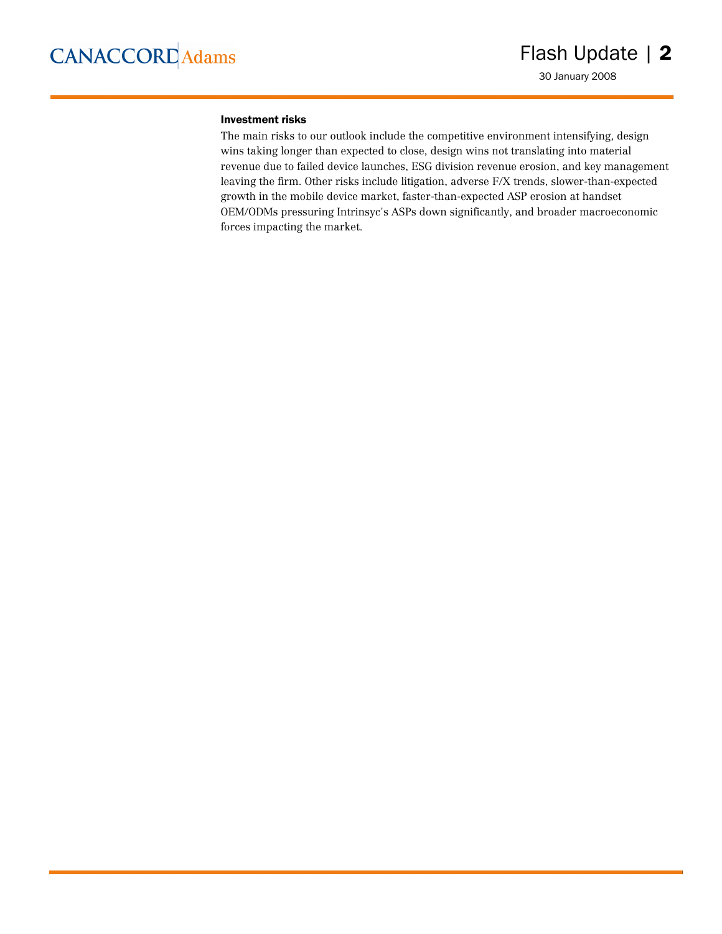#### Investment risks

The main risks to our outlook include the competitive environment intensifying, design wins taking longer than expected to close, design wins not translating into material revenue due to failed device launches, ESG division revenue erosion, and key management leaving the firm. Other risks include litigation, adverse F/X trends, slower-than-expected growth in the mobile device market, faster-than-expected ASP erosion at handset OEM/ODMs pressuring Intrinsyc's ASPs down significantly, and broader macroeconomic forces impacting the market.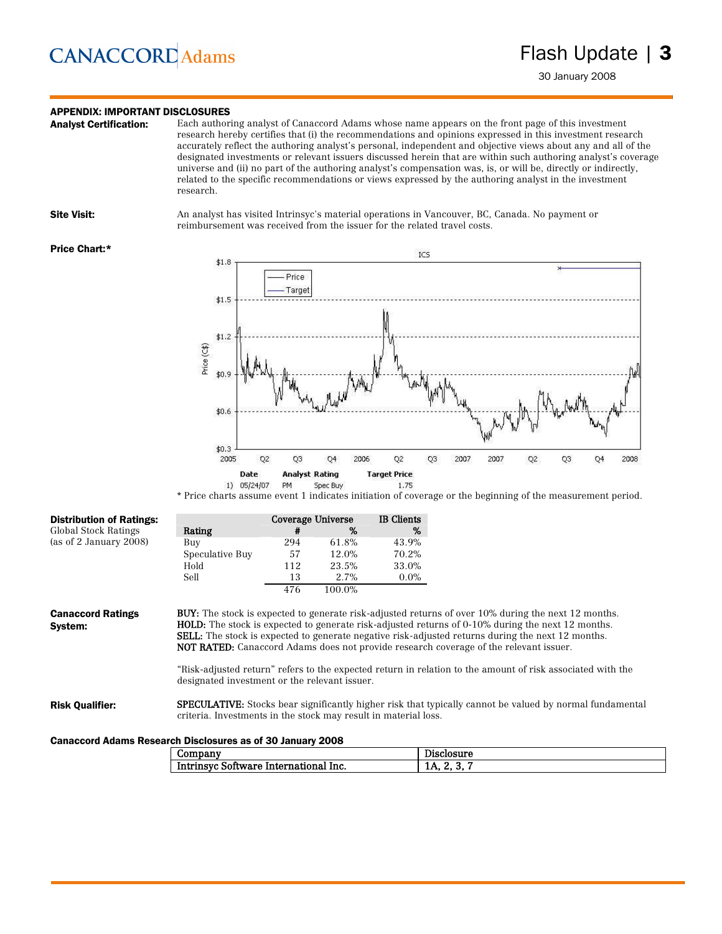## **CANACCORD** Adams

### **APPENDIX: IMPORTANT DISCLOSURES**<br>**Analyst Certification:** Each author

Each authoring analyst of Canaccord Adams whose name appears on the front page of this investment research hereby certifies that (i) the recommendations and opinions expressed in this investment research accurately reflect the authoring analyst's personal, independent and objective views about any and all of the designated investments or relevant issuers discussed herein that are within such authoring analyst's coverage universe and (ii) no part of the authoring analyst's compensation was, is, or will be, directly or indirectly, related to the specific recommendations or views expressed by the authoring analyst in the investment research.

Site Visit: An analyst has visited Intrinsyc's material operations in Vancouver, BC, Canada. No payment or reimbursement was received from the issuer for the related travel costs.

#### Price Chart:\*



\* Price charts assume event 1 indicates initiation of coverage or the beginning of the measurement period.

| <b>Distribution of Ratings:</b>                            |                                                                 |     | Coverage Universe | <b>IB</b> Clients |                                                                                                                                                                                                                                                                                                                                                                                                                                    |
|------------------------------------------------------------|-----------------------------------------------------------------|-----|-------------------|-------------------|------------------------------------------------------------------------------------------------------------------------------------------------------------------------------------------------------------------------------------------------------------------------------------------------------------------------------------------------------------------------------------------------------------------------------------|
| Global Stock Ratings                                       | Rating                                                          | #   | %                 | %                 |                                                                                                                                                                                                                                                                                                                                                                                                                                    |
| (as of 2 January 2008)                                     | Buy                                                             | 294 | 61.8%             | 43.9%             |                                                                                                                                                                                                                                                                                                                                                                                                                                    |
|                                                            | Speculative Buy                                                 | 57  | 12.0%             | 70.2%             |                                                                                                                                                                                                                                                                                                                                                                                                                                    |
|                                                            | Hold                                                            | 112 | 23.5%             | 33.0%             |                                                                                                                                                                                                                                                                                                                                                                                                                                    |
|                                                            | Sell                                                            | 13  | 2.7%              | $0.0\%$           |                                                                                                                                                                                                                                                                                                                                                                                                                                    |
|                                                            |                                                                 | 476 | 100.0%            |                   |                                                                                                                                                                                                                                                                                                                                                                                                                                    |
| System:                                                    | designated investment or the relevant issuer.                   |     |                   |                   | <b>HOLD:</b> The stock is expected to generate risk-adjusted returns of 0-10% during the next 12 months.<br><b>SELL:</b> The stock is expected to generate negative risk-adjusted returns during the next 12 months.<br><b>NOT RATED:</b> Canaccord Adams does not provide research coverage of the relevant issuer.<br>"Risk-adjusted return" refers to the expected return in relation to the amount of risk associated with the |
| <b>Risk Qualifier:</b>                                     | criteria. Investments in the stock may result in material loss. |     |                   |                   | <b>SPECULATIVE:</b> Stocks bear significantly higher risk that typically cannot be valued by normal fundamental                                                                                                                                                                                                                                                                                                                    |
| Canaccord Adams Research Disclosures as of 30 January 2008 |                                                                 |     |                   |                   |                                                                                                                                                                                                                                                                                                                                                                                                                                    |
|                                                            | $\alpha$ - $\alpha$ - $\alpha$ - $\alpha$ - $\alpha$            |     |                   |                   | Data alla annon                                                                                                                                                                                                                                                                                                                                                                                                                    |

| $\omega$ ompany                       | Disclosure    |
|---------------------------------------|---------------|
| Intrinsyc Software International Inc. | 1A. Z.<br>. . |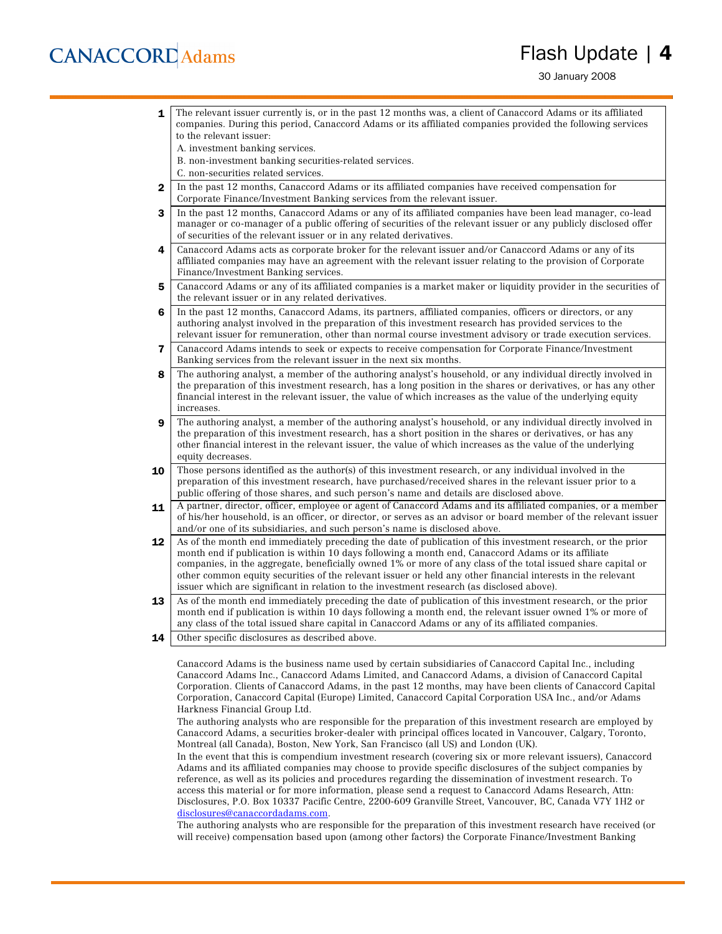## **CANACCORD** Adams

### Flash Update | 4

30 January 2008

| 1            | The relevant issuer currently is, or in the past 12 months was, a client of Canaccord Adams or its affiliated                                                                                                              |
|--------------|----------------------------------------------------------------------------------------------------------------------------------------------------------------------------------------------------------------------------|
|              | companies. During this period, Canaccord Adams or its affiliated companies provided the following services                                                                                                                 |
|              | to the relevant issuer:                                                                                                                                                                                                    |
|              | A. investment banking services.                                                                                                                                                                                            |
|              | B. non-investment banking securities-related services.                                                                                                                                                                     |
|              | C. non-securities related services.                                                                                                                                                                                        |
| $\mathbf{2}$ | In the past 12 months, Canaccord Adams or its affiliated companies have received compensation for                                                                                                                          |
|              | Corporate Finance/Investment Banking services from the relevant issuer.                                                                                                                                                    |
| 3            | In the past 12 months, Canaccord Adams or any of its affiliated companies have been lead manager, co-lead                                                                                                                  |
|              | manager or co-manager of a public offering of securities of the relevant issuer or any publicly disclosed offer                                                                                                            |
|              | of securities of the relevant issuer or in any related derivatives.                                                                                                                                                        |
| 4            | Canaccord Adams acts as corporate broker for the relevant issuer and/or Canaccord Adams or any of its                                                                                                                      |
|              | affiliated companies may have an agreement with the relevant issuer relating to the provision of Corporate                                                                                                                 |
|              | Finance/Investment Banking services.                                                                                                                                                                                       |
| 5            | Canaccord Adams or any of its affiliated companies is a market maker or liquidity provider in the securities of                                                                                                            |
|              | the relevant issuer or in any related derivatives.                                                                                                                                                                         |
| 6            | In the past 12 months, Canaccord Adams, its partners, affiliated companies, officers or directors, or any                                                                                                                  |
|              | authoring analyst involved in the preparation of this investment research has provided services to the                                                                                                                     |
|              | relevant issuer for remuneration, other than normal course investment advisory or trade execution services.                                                                                                                |
| 7            | Canaccord Adams intends to seek or expects to receive compensation for Corporate Finance/Investment                                                                                                                        |
|              | Banking services from the relevant issuer in the next six months.                                                                                                                                                          |
| 8            | The authoring analyst, a member of the authoring analyst's household, or any individual directly involved in                                                                                                               |
|              | the preparation of this investment research, has a long position in the shares or derivatives, or has any other                                                                                                            |
|              | financial interest in the relevant issuer, the value of which increases as the value of the underlying equity                                                                                                              |
|              | increases.                                                                                                                                                                                                                 |
| 9            | The authoring analyst, a member of the authoring analyst's household, or any individual directly involved in                                                                                                               |
|              | the preparation of this investment research, has a short position in the shares or derivatives, or has any<br>other financial interest in the relevant issuer, the value of which increases as the value of the underlying |
|              | equity decreases.                                                                                                                                                                                                          |
|              |                                                                                                                                                                                                                            |
| 10           | Those persons identified as the author(s) of this investment research, or any individual involved in the<br>preparation of this investment research, have purchased/received shares in the relevant issuer prior to a      |
|              | public offering of those shares, and such person's name and details are disclosed above.                                                                                                                                   |
|              | A partner, director, officer, employee or agent of Canaccord Adams and its affiliated companies, or a member                                                                                                               |
| 11           | of his/her household, is an officer, or director, or serves as an advisor or board member of the relevant issuer                                                                                                           |
|              | and/or one of its subsidiaries, and such person's name is disclosed above.                                                                                                                                                 |
| 12           | As of the month end immediately preceding the date of publication of this investment research, or the prior                                                                                                                |
|              | month end if publication is within 10 days following a month end, Canaccord Adams or its affiliate                                                                                                                         |
|              | companies, in the aggregate, beneficially owned 1% or more of any class of the total issued share capital or                                                                                                               |
|              | other common equity securities of the relevant issuer or held any other financial interests in the relevant                                                                                                                |
|              | issuer which are significant in relation to the investment research (as disclosed above).                                                                                                                                  |
| 13           | As of the month end immediately preceding the date of publication of this investment research, or the prior                                                                                                                |
|              | month end if publication is within 10 days following a month end, the relevant issuer owned 1% or more of                                                                                                                  |
|              | any class of the total issued share capital in Canaccord Adams or any of its affiliated companies.                                                                                                                         |
| 14           | Other specific disclosures as described above.                                                                                                                                                                             |
|              |                                                                                                                                                                                                                            |

Canaccord Adams is the business name used by certain subsidiaries of Canaccord Capital Inc., including Canaccord Adams Inc., Canaccord Adams Limited, and Canaccord Adams, a division of Canaccord Capital Corporation. Clients of Canaccord Adams, in the past 12 months, may have been clients of Canaccord Capital Corporation, Canaccord Capital (Europe) Limited, Canaccord Capital Corporation USA Inc., and/or Adams Harkness Financial Group Ltd.

The authoring analysts who are responsible for the preparation of this investment research are employed by Canaccord Adams, a securities broker-dealer with principal offices located in Vancouver, Calgary, Toronto, Montreal (all Canada), Boston, New York, San Francisco (all US) and London (UK).

In the event that this is compendium investment research (covering six or more relevant issuers), Canaccord Adams and its affiliated companies may choose to provide specific disclosures of the subject companies by reference, as well as its policies and procedures regarding the dissemination of investment research. To access this material or for more information, please send a request to Canaccord Adams Research, Attn: Disclosures, P.O. Box 10337 Pacific Centre, 2200-609 Granville Street, Vancouver, BC, Canada V7Y 1H2 or disclosures@canaccordadams.com.

The authoring analysts who are responsible for the preparation of this investment research have received (or will receive) compensation based upon (among other factors) the Corporate Finance/Investment Banking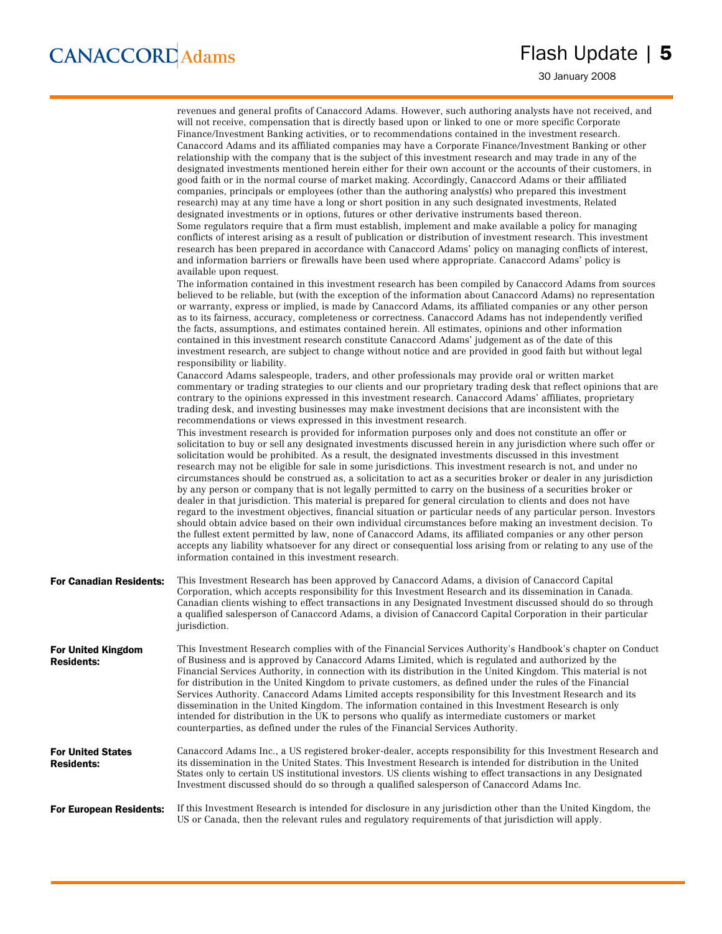30 January 2008

|                                                | revenues and general profits of Canaccord Adams. However, such authoring analysts have not received, and<br>will not receive, compensation that is directly based upon or linked to one or more specific Corporate<br>Finance/Investment Banking activities, or to recommendations contained in the investment research.<br>Canaccord Adams and its affiliated companies may have a Corporate Finance/Investment Banking or other<br>relationship with the company that is the subject of this investment research and may trade in any of the<br>designated investments mentioned herein either for their own account or the accounts of their customers, in<br>good faith or in the normal course of market making. Accordingly, Canaccord Adams or their affiliated<br>companies, principals or employees (other than the authoring analyst(s) who prepared this investment<br>research) may at any time have a long or short position in any such designated investments, Related<br>designated investments or in options, futures or other derivative instruments based thereon.<br>Some regulators require that a firm must establish, implement and make available a policy for managing<br>conflicts of interest arising as a result of publication or distribution of investment research. This investment<br>research has been prepared in accordance with Canaccord Adams' policy on managing conflicts of interest,<br>and information barriers or firewalls have been used where appropriate. Canaccord Adams' policy is<br>available upon request.<br>The information contained in this investment research has been compiled by Canaccord Adams from sources |
|------------------------------------------------|-----------------------------------------------------------------------------------------------------------------------------------------------------------------------------------------------------------------------------------------------------------------------------------------------------------------------------------------------------------------------------------------------------------------------------------------------------------------------------------------------------------------------------------------------------------------------------------------------------------------------------------------------------------------------------------------------------------------------------------------------------------------------------------------------------------------------------------------------------------------------------------------------------------------------------------------------------------------------------------------------------------------------------------------------------------------------------------------------------------------------------------------------------------------------------------------------------------------------------------------------------------------------------------------------------------------------------------------------------------------------------------------------------------------------------------------------------------------------------------------------------------------------------------------------------------------------------------------------------------------------------------------------------------------------------|
|                                                | believed to be reliable, but (with the exception of the information about Canaccord Adams) no representation<br>or warranty, express or implied, is made by Canaccord Adams, its affiliated companies or any other person<br>as to its fairness, accuracy, completeness or correctness. Canaccord Adams has not independently verified<br>the facts, assumptions, and estimates contained herein. All estimates, opinions and other information<br>contained in this investment research constitute Canaccord Adams' judgement as of the date of this<br>investment research, are subject to change without notice and are provided in good faith but without legal<br>responsibility or liability.                                                                                                                                                                                                                                                                                                                                                                                                                                                                                                                                                                                                                                                                                                                                                                                                                                                                                                                                                                         |
|                                                | Canaccord Adams salespeople, traders, and other professionals may provide oral or written market<br>commentary or trading strategies to our clients and our proprietary trading desk that reflect opinions that are<br>contrary to the opinions expressed in this investment research. Canaccord Adams' affiliates, proprietary<br>trading desk, and investing businesses may make investment decisions that are inconsistent with the<br>recommendations or views expressed in this investment research.                                                                                                                                                                                                                                                                                                                                                                                                                                                                                                                                                                                                                                                                                                                                                                                                                                                                                                                                                                                                                                                                                                                                                                   |
|                                                | This investment research is provided for information purposes only and does not constitute an offer or<br>solicitation to buy or sell any designated investments discussed herein in any jurisdiction where such offer or<br>solicitation would be prohibited. As a result, the designated investments discussed in this investment<br>research may not be eligible for sale in some jurisdictions. This investment research is not, and under no<br>circumstances should be construed as, a solicitation to act as a securities broker or dealer in any jurisdiction<br>by any person or company that is not legally permitted to carry on the business of a securities broker or<br>dealer in that jurisdiction. This material is prepared for general circulation to clients and does not have<br>regard to the investment objectives, financial situation or particular needs of any particular person. Investors<br>should obtain advice based on their own individual circumstances before making an investment decision. To<br>the fullest extent permitted by law, none of Canaccord Adams, its affiliated companies or any other person<br>accepts any liability whatsoever for any direct or consequential loss arising from or relating to any use of the<br>information contained in this investment research.                                                                                                                                                                                                                                                                                                                                                  |
| <b>For Canadian Residents:</b>                 | This Investment Research has been approved by Canaccord Adams, a division of Canaccord Capital<br>Corporation, which accepts responsibility for this Investment Research and its dissemination in Canada.<br>Canadian clients wishing to effect transactions in any Designated Investment discussed should do so through<br>a qualified salesperson of Canaccord Adams, a division of Canaccord Capital Corporation in their particular<br>jurisdiction.                                                                                                                                                                                                                                                                                                                                                                                                                                                                                                                                                                                                                                                                                                                                                                                                                                                                                                                                                                                                                                                                                                                                                                                                                    |
| <b>For United Kingdom</b><br><b>Residents:</b> | This Investment Research complies with of the Financial Services Authority's Handbook's chapter on Conduct<br>of Business and is approved by Canaccord Adams Limited, which is regulated and authorized by the<br>Financial Services Authority, in connection with its distribution in the United Kingdom. This material is not<br>for distribution in the United Kingdom to private customers, as defined under the rules of the Financial<br>Services Authority. Canaccord Adams Limited accepts responsibility for this Investment Research and its<br>dissemination in the United Kingdom. The information contained in this Investment Research is only<br>intended for distribution in the UK to persons who qualify as intermediate customers or market<br>counterparties, as defined under the rules of the Financial Services Authority.                                                                                                                                                                                                                                                                                                                                                                                                                                                                                                                                                                                                                                                                                                                                                                                                                           |
| <b>For United States</b><br><b>Residents:</b>  | Canaccord Adams Inc., a US registered broker-dealer, accepts responsibility for this Investment Research and<br>its dissemination in the United States. This Investment Research is intended for distribution in the United<br>States only to certain US institutional investors. US clients wishing to effect transactions in any Designated<br>Investment discussed should do so through a qualified salesperson of Canaccord Adams Inc.                                                                                                                                                                                                                                                                                                                                                                                                                                                                                                                                                                                                                                                                                                                                                                                                                                                                                                                                                                                                                                                                                                                                                                                                                                  |
| <b>For European Residents:</b>                 | If this Investment Research is intended for disclosure in any jurisdiction other than the United Kingdom, the<br>US or Canada, then the relevant rules and regulatory requirements of that jurisdiction will apply.                                                                                                                                                                                                                                                                                                                                                                                                                                                                                                                                                                                                                                                                                                                                                                                                                                                                                                                                                                                                                                                                                                                                                                                                                                                                                                                                                                                                                                                         |